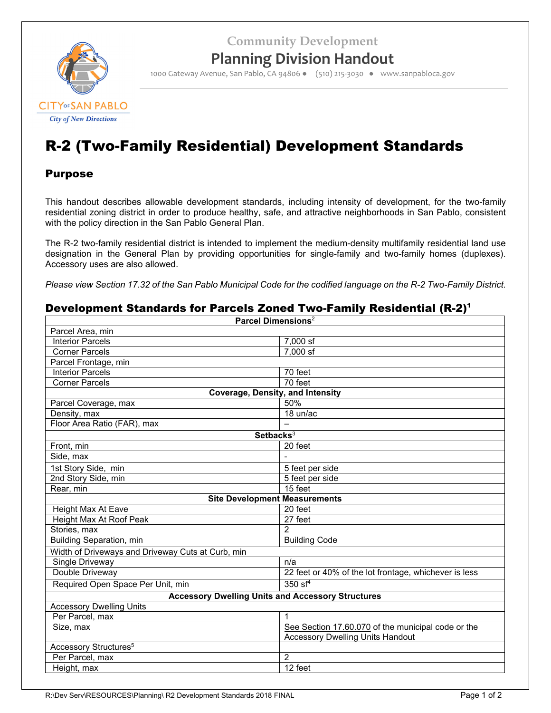**Community Development**



## **Planning Division Handout**

1000 Gateway Avenue, San Pablo, CA 94806 ● (510) 215‐3030 ● www.sanpabloca.gov

# R-2 (Two-Family Residential) Development Standards

## Purpose

This handout describes allowable development standards, including intensity of development, for the two-family residential zoning district in order to produce healthy, safe, and attractive neighborhoods in San Pablo, consistent with the policy direction in the San Pablo General Plan.

The R-2 two-family residential district is intended to implement the medium-density multifamily residential land use designation in the General Plan by providing opportunities for single-family and two-family homes (duplexes). Accessory uses are also allowed.

*Please view Section 17.32 of the San Pablo Municipal Code for the codified language on the R-2 Two-Family District.*

## Development Standards for Parcels Zoned Two-Family Residential (R-2)<sup>1</sup>

| Parcel Dimensions <sup>2</sup>                           |                                                       |  |  |
|----------------------------------------------------------|-------------------------------------------------------|--|--|
| Parcel Area, min                                         |                                                       |  |  |
| <b>Interior Parcels</b>                                  | 7,000 sf                                              |  |  |
| <b>Corner Parcels</b>                                    | 7,000 sf                                              |  |  |
| Parcel Frontage, min                                     |                                                       |  |  |
| <b>Interior Parcels</b>                                  | 70 feet                                               |  |  |
| <b>Corner Parcels</b><br>70 feet                         |                                                       |  |  |
| Coverage, Density, and Intensity                         |                                                       |  |  |
| Parcel Coverage, max                                     | 50%                                                   |  |  |
| Density, max                                             | 18 un/ac                                              |  |  |
| Floor Area Ratio (FAR), max                              |                                                       |  |  |
| Setbacks <sup>3</sup>                                    |                                                       |  |  |
| Front, min                                               | 20 feet                                               |  |  |
| Side, max                                                |                                                       |  |  |
| 1st Story Side, min                                      | 5 feet per side                                       |  |  |
| 2nd Story Side, min                                      | 5 feet per side                                       |  |  |
| Rear, min                                                | 15 feet                                               |  |  |
| <b>Site Development Measurements</b>                     |                                                       |  |  |
| Height Max At Eave                                       | 20 feet                                               |  |  |
| Height Max At Roof Peak                                  | 27 feet                                               |  |  |
| Stories, max                                             | $\overline{2}$                                        |  |  |
| Building Separation, min                                 | <b>Building Code</b>                                  |  |  |
| Width of Driveways and Driveway Cuts at Curb, min        |                                                       |  |  |
| Single Driveway                                          | n/a                                                   |  |  |
| Double Driveway                                          | 22 feet or 40% of the lot frontage, whichever is less |  |  |
| Required Open Space Per Unit, min                        | 350 sf $4$                                            |  |  |
| <b>Accessory Dwelling Units and Accessory Structures</b> |                                                       |  |  |
| <b>Accessory Dwelling Units</b>                          |                                                       |  |  |
| Per Parcel, max                                          | 1                                                     |  |  |
| Size, max                                                | See Section 17.60.070 of the municipal code or the    |  |  |
|                                                          | <b>Accessory Dwelling Units Handout</b>               |  |  |
| Accessory Structures <sup>5</sup>                        |                                                       |  |  |
| Per Parcel, max                                          | $\overline{2}$                                        |  |  |
| Height, max                                              | 12 feet                                               |  |  |